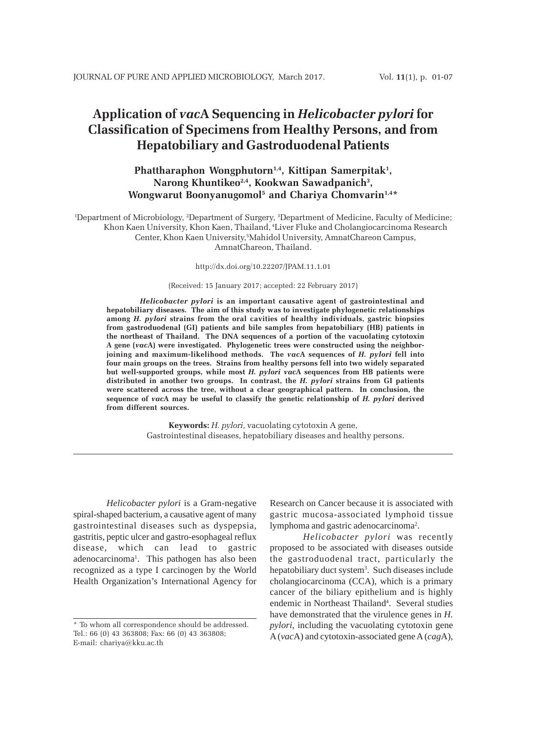# **Application of** *vac***A Sequencing in** *Helicobacter pylori* **for Classification of Specimens from Healthy Persons, and from Hepatobiliary and Gastroduodenal Patients**

# Phattharaphon Wongphutorn<sup>1,4</sup>, Kittipan Samerpitak<sup>1</sup>, **Narong Khuntikeo2,4, Kookwan Sawadpanich3 , Wongwarut Boonyanugomol5 and Chariya Chomvarin1,4\***

1 Department of Microbiology, 2 Department of Surgery, 3 Department of Medicine, Faculty of Medicine; Khon Kaen University, Khon Kaen, Thailand, 4Liver Fluke and Cholangiocarcinoma Research Center, Khon Kaen University,5 Mahidol University, AmnatChareon Campus, AmnatChareon, Thailand.

http://dx.doi.org/10.22207/JPAM.11.1.01

#### (Received: 15 January 2017; accepted: 22 February 2017)

*Helicobacter pylori* **is an important causative agent of gastrointestinal and hepatobiliary diseases. The aim of this study was to investigate phylogenetic relationships among** *H. pylori* **strains from the oral cavities of healthy individuals, gastric biopsies from gastroduodenal (GI) patients and bile samples from hepatobiliary (HB) patients in the northeast of Thailand. The DNA sequences of a portion of the vacuolating cytotoxin A gene (***vac***A) were investigated. Phylogenetic trees were constructed using the neighborjoining and maximum-likelihood methods. The** *vac***A sequences of** *H. pylori* **fell into four main groups on the trees. Strains from healthy persons fell into two widely separated but well-supported groups, while most** *H. pylori vac***A sequences from HB patients were distributed in another two groups. In contrast, the** *H. pylori* **strains from GI patients were scattered across the tree, without a clear geographical pattern. In conclusion, the sequence of** *vac***A may be useful to classify the genetic relationship of** *H. pylori* **derived from different sources.**

> **Keywords:** *H. pylori*, vacuolating cytotoxin A gene, Gastrointestinal diseases, hepatobiliary diseases and healthy persons.

*Helicobacter pylori* is a Gram-negative spiral-shaped bacterium, a causative agent of many gastrointestinal diseases such as dyspepsia, gastritis, peptic ulcer and gastro-esophageal reflux disease, which can lead to gastric adenocarcinoma<sup>1</sup>. This pathogen has also been recognized as a type I carcinogen by the World Health Organization's International Agency for

Research on Cancer because it is associated with gastric mucosa-associated lymphoid tissue lymphoma and gastric adenocarcinoma<sup>2</sup>.

*Helicobacter pylori* was recently proposed to be associated with diseases outside the gastroduodenal tract, particularly the hepatobiliary duct system<sup>3</sup>. Such diseases include cholangiocarcinoma (CCA), which is a primary cancer of the biliary epithelium and is highly endemic in Northeast Thailand<sup>4</sup>. Several studies have demonstrated that the virulence genes in *H. pylori*, including the vacuolating cytotoxin gene A (*vac*A) and cytotoxin-associated gene A (*cag*A),

<sup>\*</sup> To whom all correspondence should be addressed. Tel.: 66 (0) 43 363808; Fax: 66 (0) 43 363808; E-mail: chariya@kku.ac.th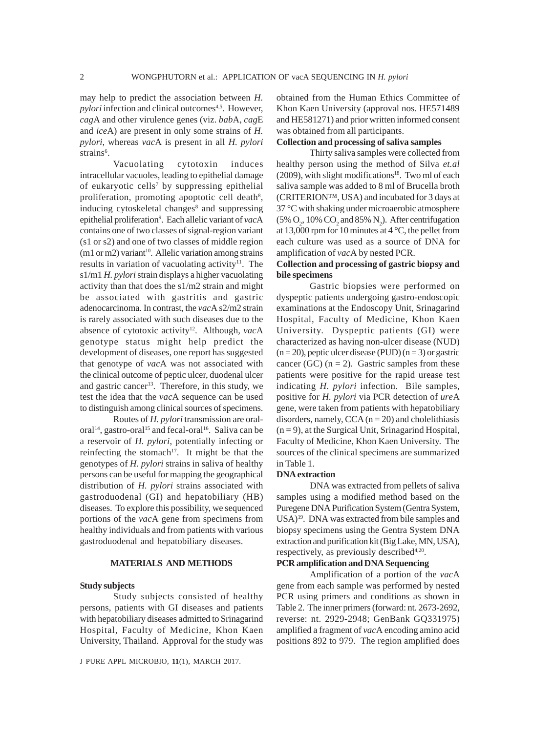may help to predict the association between *H. pylori* infection and clinical outcomes<sup>4,5</sup>. However, *cag*A and other virulence genes (viz. *bab*A, *cag*E and *ice*A) are present in only some strains of *H. pylori*, whereas *vac*A is present in all *H. pylori* strains<sup>6</sup>.

Vacuolating cytotoxin induces intracellular vacuoles, leading to epithelial damage of eukaryotic cells<sup>7</sup> by suppressing epithelial proliferation, promoting apoptotic cell death<sup>8</sup>, inducing cytoskeletal changes<sup>8</sup> and suppressing epithelial proliferation<sup>9</sup>. Each allelic variant of vacA contains one of two classes of signal-region variant (s1 or s2) and one of two classes of middle region  $(m1 or m2)$  variant<sup>10</sup>. Allelic variation among strains results in variation of vacuolating activity<sup>11</sup>. The s1/m1 *H. pylori* strain displays a higher vacuolating activity than that does the s1/m2 strain and might be associated with gastritis and gastric adenocarcinoma. In contrast, the *vac*A s2/m2 strain is rarely associated with such diseases due to the absence of cytotoxic activity<sup>12</sup>. Although, vacA genotype status might help predict the development of diseases, one report has suggested that genotype of *vac*A was not associated with the clinical outcome of peptic ulcer, duodenal ulcer and gastric cancer<sup>13</sup>. Therefore, in this study, we test the idea that the *vac*A sequence can be used to distinguish among clinical sources of specimens.

Routes of *H. pylori* transmission are oraloral<sup>14</sup>, gastro-oral<sup>15</sup> and fecal-oral<sup>16</sup>. Saliva can be a reservoir of *H. pylori*, potentially infecting or reinfecting the stomach<sup>17</sup>. It might be that the genotypes of *H. pylori* strains in saliva of healthy persons can be useful for mapping the geographical distribution of *H. pylori* strains associated with gastroduodenal (GI) and hepatobiliary (HB) diseases. To explore this possibility, we sequenced portions of the *vac*A gene from specimens from healthy individuals and from patients with various gastroduodenal and hepatobiliary diseases.

## **MATERIALS AND METHODS**

#### **Study subjects**

Study subjects consisted of healthy persons, patients with GI diseases and patients with hepatobiliary diseases admitted to Srinagarind Hospital, Faculty of Medicine, Khon Kaen University, Thailand. Approval for the study was

J PURE APPL MICROBIO*,* **11**(1), MARCH 2017.

obtained from the Human Ethics Committee of Khon Kaen University (approval nos. HE571489 and HE581271) and prior written informed consent was obtained from all participants.

# **Collection and processing of saliva samples**

Thirty saliva samples were collected from healthy person using the method of Silva *et.al*  $(2009)$ , with slight modifications<sup>18</sup>. Two ml of each saliva sample was added to 8 ml of Brucella broth (CRITERION™, USA) and incubated for 3 days at 37 °C with shaking under microaerobic atmosphere  $(5\% \text{ O}_2, 10\% \text{ CO}_2 \text{ and } 85\% \text{ N}_2)$ . After centrifugation at 13,000 rpm for 10 minutes at 4 °C, the pellet from each culture was used as a source of DNA for amplification of *vac*A by nested PCR.

# **Collection and processing of gastric biopsy and bile specimens**

Gastric biopsies were performed on dyspeptic patients undergoing gastro-endoscopic examinations at the Endoscopy Unit, Srinagarind Hospital, Faculty of Medicine, Khon Kaen University. Dyspeptic patients (GI) were characterized as having non-ulcer disease (NUD)  $(n = 20)$ , peptic ulcer disease (PUD)  $(n = 3)$  or gastric cancer (GC)  $(n = 2)$ . Gastric samples from these patients were positive for the rapid urease test indicating *H. pylori* infection. Bile samples, positive for *H. pylori* via PCR detection of *ure*A gene, were taken from patients with hepatobiliary disorders, namely,  $CCA (n = 20)$  and cholelithiasis  $(n = 9)$ , at the Surgical Unit, Srinagarind Hospital, Faculty of Medicine, Khon Kaen University. The sources of the clinical specimens are summarized in Table 1.

#### **DNA extraction**

DNA was extracted from pellets of saliva samples using a modified method based on the Puregene DNA Purification System (Gentra System, USA)19. DNA was extracted from bile samples and biopsy specimens using the Gentra System DNA extraction and purification kit (Big Lake, MN, USA), respectively, as previously described<sup>4,20</sup>.

## **PCR amplification and DNA Sequencing**

Amplification of a portion of the *vac*A gene from each sample was performed by nested PCR using primers and conditions as shown in Table 2. The inner primers (forward: nt. 2673-2692, reverse: nt. 2929-2948; GenBank GQ331975) amplified a fragment of *vac*A encoding amino acid positions 892 to 979. The region amplified does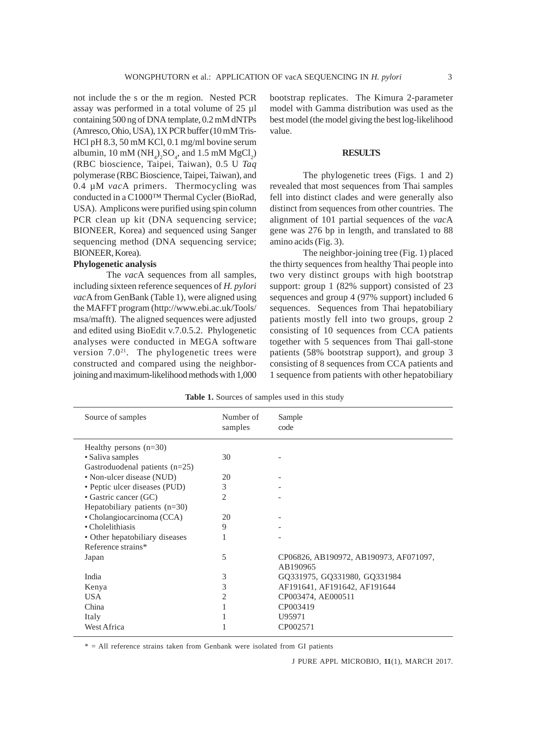not include the s or the m region. Nested PCR assay was performed in a total volume of 25 µl containing 500 ng of DNA template, 0.2 mM dNTPs (Amresco, Ohio, USA), 1X PCR buffer (10 mM Tris-HCl pH 8.3, 50 mM KCl, 0.1 mg/ml bovine serum albumin, 10 mM  $(NH_4)_2SO_4$ , and 1.5 mM  $MgCl_2$ ) (RBC bioscience, Taipei, Taiwan), 0.5 U *Taq* polymerase (RBC Bioscience, Taipei, Taiwan), and 0.4 µM *vac*A primers. Thermocycling was conducted in a C1000™ Thermal Cycler (BioRad, USA). Amplicons were purified using spin column PCR clean up kit (DNA sequencing service; BIONEER, Korea) and sequenced using Sanger sequencing method (DNA sequencing service; BIONEER, Korea).

#### **Phylogenetic analysis**

The *vac*A sequences from all samples, including sixteen reference sequences of *H. pylori vac*A from GenBank (Table 1), were aligned using the MAFFT program (http://www.ebi.ac.uk/Tools/ msa/mafft). The aligned sequences were adjusted and edited using BioEdit v.7.0.5.2. Phylogenetic analyses were conducted in MEGA software version  $7.0^{21}$ . The phylogenetic trees were constructed and compared using the neighborjoining and maximum-likelihood methods with 1,000 bootstrap replicates. The Kimura 2-parameter model with Gamma distribution was used as the best model (the model giving the best log-likelihood value.

## **RESULTS**

The phylogenetic trees (Figs. 1 and 2) revealed that most sequences from Thai samples fell into distinct clades and were generally also distinct from sequences from other countries. The alignment of 101 partial sequences of the *vac*A gene was 276 bp in length, and translated to 88 amino acids (Fig. 3).

The neighbor-joining tree (Fig. 1) placed the thirty sequences from healthy Thai people into two very distinct groups with high bootstrap support: group 1 (82% support) consisted of 23 sequences and group 4 (97% support) included 6 sequences. Sequences from Thai hepatobiliary patients mostly fell into two groups, group 2 consisting of 10 sequences from CCA patients together with 5 sequences from Thai gall-stone patients (58% bootstrap support), and group 3 consisting of 8 sequences from CCA patients and 1 sequence from patients with other hepatobiliary

| Source of samples               | Number of<br>samples | Sample<br>code                                     |
|---------------------------------|----------------------|----------------------------------------------------|
| Healthy persons $(n=30)$        |                      |                                                    |
| • Saliva samples                | 30                   |                                                    |
| Gastroduodenal patients (n=25)  |                      |                                                    |
| • Non-ulcer disease (NUD)       | 20                   |                                                    |
| • Peptic ulcer diseases (PUD)   | 3                    |                                                    |
| • Gastric cancer (GC)           | 2                    |                                                    |
| Hepatobiliary patients $(n=30)$ |                      |                                                    |
| • Cholangiocarcinoma (CCA)      | 20                   |                                                    |
| • Cholelithiasis                | 9                    |                                                    |
| • Other hepatobiliary diseases  |                      |                                                    |
| Reference strains*              |                      |                                                    |
| Japan                           | 5                    | CP06826, AB190972, AB190973, AF071097,<br>AB190965 |
| India                           | 3                    | GQ331975, GQ331980, GQ331984                       |
| Kenya                           | 3                    | AF191641, AF191642, AF191644                       |
| <b>USA</b>                      | 2                    | CP003474, AE000511                                 |
| China                           |                      | CP003419                                           |
| Italy                           |                      | U95971                                             |
| West Africa                     |                      | CP002571                                           |

**Table 1.** Sources of samples used in this study

\* = All reference strains taken from Genbank were isolated from GI patients

J PURE APPL MICROBIO*,* **11**(1), MARCH 2017.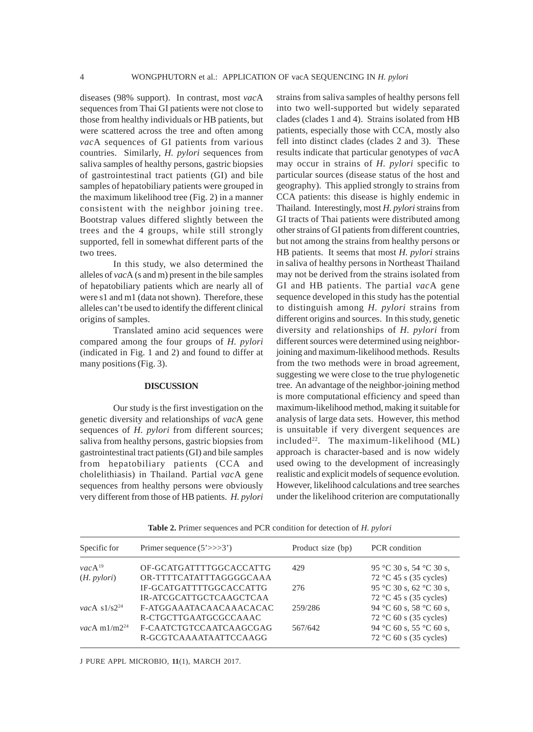diseases (98% support). In contrast, most *vac*A sequences from Thai GI patients were not close to those from healthy individuals or HB patients, but were scattered across the tree and often among *vac*A sequences of GI patients from various countries. Similarly, *H. pylori* sequences from saliva samples of healthy persons, gastric biopsies of gastrointestinal tract patients (GI) and bile samples of hepatobiliary patients were grouped in the maximum likelihood tree (Fig. 2) in a manner consistent with the neighbor joining tree. Bootstrap values differed slightly between the trees and the 4 groups, while still strongly supported, fell in somewhat different parts of the two trees.

In this study, we also determined the alleles of *vac*A (s and m) present in the bile samples of hepatobiliary patients which are nearly all of were s1 and m1 (data not shown). Therefore, these alleles can't be used to identify the different clinical origins of samples.

Translated amino acid sequences were compared among the four groups of *H. pylori* (indicated in Fig. 1 and 2) and found to differ at many positions (Fig. 3).

#### **DISCUSSION**

Our study is the first investigation on the genetic diversity and relationships of *vac*A gene sequences of *H. pylori* from different sources; saliva from healthy persons, gastric biopsies from gastrointestinal tract patients (GI) and bile samples from hepatobiliary patients (CCA and cholelithiasis) in Thailand. Partial *vac*A gene sequences from healthy persons were obviously very different from those of HB patients. *H. pylori*

strains from saliva samples of healthy persons fell into two well-supported but widely separated clades (clades 1 and 4). Strains isolated from HB patients, especially those with CCA, mostly also fell into distinct clades (clades 2 and 3). These results indicate that particular genotypes of *vac*A may occur in strains of *H. pylori* specific to particular sources (disease status of the host and geography). This applied strongly to strains from CCA patients: this disease is highly endemic in Thailand. Interestingly, most *H. pylori* strains from GI tracts of Thai patients were distributed among other strains of GI patients from different countries, but not among the strains from healthy persons or HB patients. It seems that most *H. pylori* strains in saliva of healthy persons in Northeast Thailand may not be derived from the strains isolated from GI and HB patients. The partial *vac*A gene sequence developed in this study has the potential to distinguish among *H. pylori* strains from different origins and sources. In this study, genetic diversity and relationships of *H. pylori* from different sources were determined using neighborjoining and maximum-likelihood methods. Results from the two methods were in broad agreement, suggesting we were close to the true phylogenetic tree. An advantage of the neighbor-joining method is more computational efficiency and speed than maximum-likelihood method, making it suitable for analysis of large data sets. However, this method is unsuitable if very divergent sequences are included<sup>22</sup>. The maximum-likelihood  $(ML)$ approach is character-based and is now widely used owing to the development of increasingly realistic and explicit models of sequence evolution. However, likelihood calculations and tree searches under the likelihood criterion are computationally

| Specific for               | Primer sequence $(5'>>3')$ | Product size (bp) | PCR condition           |  |  |
|----------------------------|----------------------------|-------------------|-------------------------|--|--|
| $vacA^{19}$                | OF-GCATGATTTTGGCACCATTG    | 429               | 95 °C 30 s, 54 °C 30 s, |  |  |
| $(H. \, pylori)$           | OR-TTTTCATATTTAGGGGCAAA    |                   | 72 °C 45 s (35 cycles)  |  |  |
|                            | IF-GCATGATTTTGGCACCATTG    | 276               | 95 °C 30 s, 62 °C 30 s, |  |  |
|                            | IR-ATCGCATTGCTCAAGCTCAA    |                   | 72 °C 45 s (35 cycles)  |  |  |
| vacA $s1/s2^{24}$          | F-ATGGAAATACAACAAACACAC    | 259/286           | 94 °C 60 s, 58 °C 60 s, |  |  |
|                            | R-CTGCTTGAATGCGCCAAAC      |                   | 72 °C 60 s (35 cycles)  |  |  |
| <i>vac</i> A m $1/m2^{24}$ | F-CAATCTGTCCAATCAAGCGAG    | 567/642           | 94 °C 60 s, 55 °C 60 s, |  |  |
|                            | R-GCGTCAAAATAATTCCAAGG     |                   | 72 °C 60 s (35 cycles)  |  |  |

**Table 2.** Primer sequences and PCR condition for detection of *H. pylori*

J PURE APPL MICROBIO*,* **11**(1), MARCH 2017.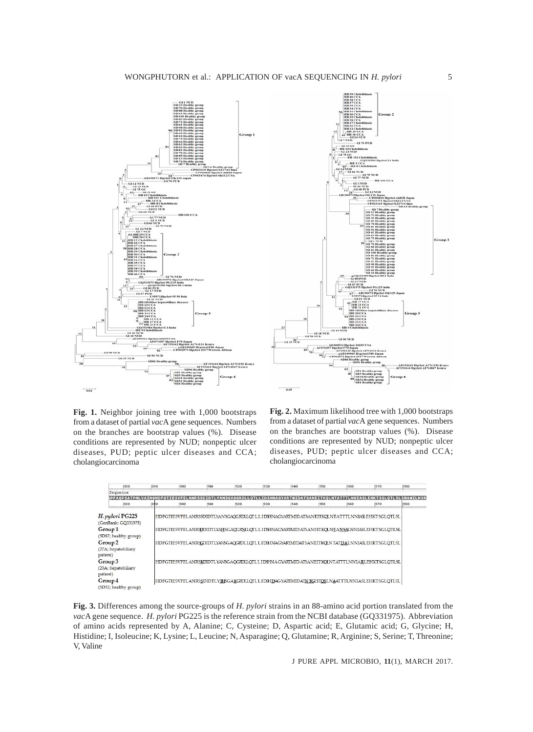

**Fig. 1.** Neighbor joining tree with 1,000 bootstraps from a dataset of partial *vac*A gene sequences. Numbers on the branches are bootstrap values (%). Disease conditions are represented by NUD; nonpeptic ulcer diseases, PUD; peptic ulcer diseases and CCA; cholangiocarcinoma



**Fig. 2.** Maximum likelihood tree with 1,000 bootstraps from a dataset of partial *vac*A gene sequences. Numbers on the branches are bootstrap values (%). Disease conditions are represented by NUD; nonpeptic ulcer diseases, PUD; peptic ulcer diseases and CCA; cholangiocarcinoma

| 880                                                   | 1898 | 900  | 910  | 920 | 930 | 940 | 950 | 960  | 970                                                                                              | 980                          |
|-------------------------------------------------------|------|------|------|-----|-----|-----|-----|------|--------------------------------------------------------------------------------------------------|------------------------------|
| Sequence                                              |      |      |      |     |     |     |     |      |                                                                                                  |                              |
| PFAOPSATPNLVAIN                                       |      |      |      |     |     |     |     |      |                                                                                                  | LNNIASLEHKTSGLOTLSLSNAMILNSR |
| 1880                                                  |      | 1900 | 1910 | 920 | 930 | 940 | 950 | 1960 | 1970                                                                                             | 980                          |
| H. pylori PG225<br>(GenBank: GQ331975)                |      |      |      |     |     |     |     |      | HDFGTIESVFELANRSSDIDTLYANSGAQGRDLLQTLLIDEHNAGYARIMIDATSANEITKQLNTATTTLNNIASLEHKTSGLQTLSL         |                              |
| Group 1<br>(SD87; healthy group)                      |      |      |      |     |     |     |     |      | HDFGTIESVFELANRSDDIDTLYAHSGAQGRNLLQTLLIDSHNAGYARIMIDATSANEITKQLNEANSALNNIASLEHKTSGLQTLSL         |                              |
| Group <sub>2</sub><br>(27A; hepatobiliary<br>patient) |      |      |      |     |     |     |     |      | HDFGTIESVFELANRSGDIDTLYANSGAQGRDLLQTL LIDEHNAGYARIMIDAT SANEITKQLN TATDALNNIASLEHKTSGLQTLSL      |                              |
| Group 3<br>(23A; hepatobiliary<br>patient)            |      |      |      |     |     |     |     |      | HDFGTIESVFELANRSKDIDTLYANSGAOGRDLLOTL I. I DEINA GYARIMID ATSANEIT KOLNT ATTTLNNIARLEHKTSGLOTLSL |                              |
| Group 4<br>(SD32; healthy group)                      |      |      |      |     |     |     |     |      | HDFGTIESVFELANRSSDIDTLYTHSGAKGRDLOTLLIDEHDAGYARIMIDAINTGEITOSLNAATTTLNNIASLEHKTSGLOTLSL          |                              |

**Fig. 3.** Differences among the source-groups of *H. pylori* strains in an 88-amino acid portion translated from the *vac*A gene sequence. *H. pylori* PG225 is the reference strain from the NCBI database (GQ331975). Abbreviation of amino acids represented by A, Alanine; C, Cysteine; D, Aspartic acid; E, Glutamic acid; G, Glycine; H, Histidine; I, Isoleucine; K, Lysine; L, Leucine; N, Asparagine; Q, Glutamine; R, Arginine; S, Serine; T, Threonine; V, Valine

J PURE APPL MICROBIO*,* **11**(1), MARCH 2017.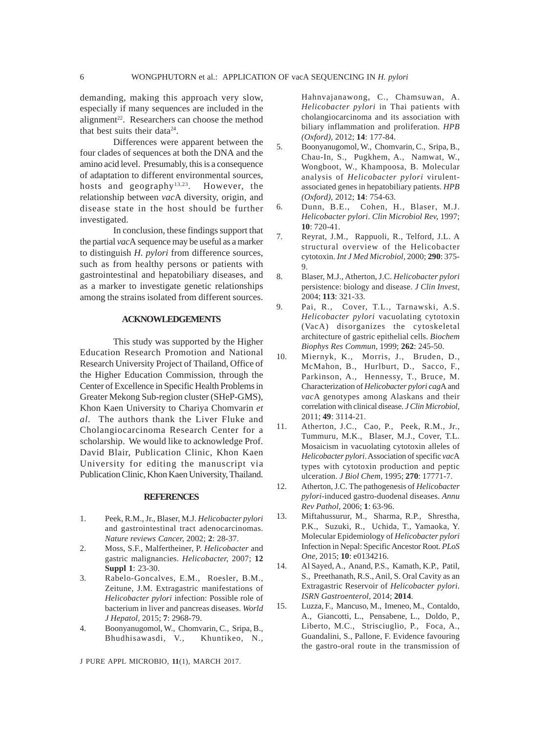demanding, making this approach very slow, especially if many sequences are included in the alignment<sup>22</sup>. Researchers can choose the method that best suits their data $24$ .

Differences were apparent between the four clades of sequences at both the DNA and the amino acid level. Presumably, this is a consequence of adaptation to different environmental sources, hosts and geography<sup>13,23</sup>. However, the relationship between *vac*A diversity, origin, and disease state in the host should be further investigated.

In conclusion, these findings support that the partial *vac*A sequence may be useful as a marker to distinguish *H. pylori* from difference sources, such as from healthy persons or patients with gastrointestinal and hepatobiliary diseases, and as a marker to investigate genetic relationships among the strains isolated from different sources.

#### **ACKNOWLEDGEMENTS**

This study was supported by the Higher Education Research Promotion and National Research University Project of Thailand, Office of the Higher Education Commission, through the Center of Excellence in Specific Health Problems in Greater Mekong Sub-region cluster (SHeP-GMS), Khon Kaen University to Chariya Chomvarin *et al*. The authors thank the Liver Fluke and Cholangiocarcinoma Research Center for a scholarship. We would like to acknowledge Prof. David Blair, Publication Clinic, Khon Kaen University for editing the manuscript via Publication Clinic, Khon Kaen University, Thailand.

#### **REFERENCES**

- 1. Peek, R.M., Jr., Blaser, M.J. *Helicobacter pylori* and gastrointestinal tract adenocarcinomas. *Nature reviews Cancer,* 2002; **2**: 28-37.
- 2. Moss, S.F., Malfertheiner, P. *Helicobacter* and gastric malignancies. *Helicobacter,* 2007; **12 Suppl 1**: 23-30.
- 3. Rabelo-Goncalves, E.M., Roesler, B.M., Zeitune, J.M. Extragastric manifestations of *Helicobacter pylori* infection: Possible role of bacterium in liver and pancreas diseases. *World J Hepatol,* 2015; **7**: 2968-79.
- 4. Boonyanugomol, W., Chomvarin, C., Sripa, B., Bhudhisawasdi, V., Khuntikeo, N.,

J PURE APPL MICROBIO*,* **11**(1), MARCH 2017.

Hahnvajanawong, C., Chamsuwan, A. *Helicobacter pylori* in Thai patients with cholangiocarcinoma and its association with biliary inflammation and proliferation. *HPB (Oxford),* 2012; **14**: 177-84.

- 5. Boonyanugomol, W., Chomvarin, C., Sripa, B., Chau-In, S., Pugkhem, A., Namwat, W., Wongboot, W., Khampoosa, B. Molecular analysis of *Helicobacter pylori* virulentassociated genes in hepatobiliary patients. *HPB (Oxford),* 2012; **14**: 754-63.
- 6. Dunn, B.E., Cohen, H., Blaser, M.J. *Helicobacter pylori*. *Clin Microbiol Rev,* 1997; **10**: 720-41.
- 7. Reyrat, J.M., Rappuoli, R., Telford, J.L. A structural overview of the Helicobacter cytotoxin. *Int J Med Microbiol,* 2000; **290**: 375- 9.
- 8. Blaser, M.J., Atherton, J.C. *Helicobacter pylori* persistence: biology and disease. *J Clin Invest,* 2004; **113**: 321-33.
- 9. Pai, R., Cover, T.L., Tarnawski, A.S. *Helicobacter pylori* vacuolating cytotoxin (VacA) disorganizes the cytoskeletal architecture of gastric epithelial cells. *Biochem Biophys Res Commun,* 1999; **262**: 245-50.
- 10. Miernyk, K., Morris, J., Bruden, D., McMahon, B., Hurlburt, D., Sacco, F., Parkinson, A., Hennessy, T., Bruce, M. Characterization of *Helicobacter pylori cag*A and *vac*A genotypes among Alaskans and their correlation with clinical disease. *J Clin Microbiol,* 2011; **49**: 3114-21.
- 11. Atherton, J.C., Cao, P., Peek, R.M., Jr., Tummuru, M.K., Blaser, M.J., Cover, T.L. Mosaicism in vacuolating cytotoxin alleles of *Helicobacter pylori*. Association of specific *vac*A types with cytotoxin production and peptic ulceration. *J Biol Chem,* 1995; **270**: 17771-7.
- 12. Atherton, J.C. The pathogenesis of *Helicobacter pylori*-induced gastro-duodenal diseases. *Annu Rev Pathol,* 2006; **1**: 63-96.
- 13. Miftahussurur, M., Sharma, R.P., Shrestha, P.K., Suzuki, R., Uchida, T., Yamaoka, Y. Molecular Epidemiology of *Helicobacter pylori* Infection in Nepal: Specific Ancestor Root. *PLoS One,* 2015; **10**: e0134216.
- 14. Al Sayed, A., Anand, P.S., Kamath, K.P., Patil, S., Preethanath, R.S., Anil, S. Oral Cavity as an Extragastric Reservoir of *Helicobacter pylori*. *ISRN Gastroenterol,* 2014; **2014**.
- 15. Luzza, F., Mancuso, M., Imeneo, M., Contaldo, A., Giancotti, L., Pensabene, L., Doldo, P., Liberto, M.C., Strisciuglio, P., Foca, A., Guandalini, S., Pallone, F. Evidence favouring the gastro-oral route in the transmission of